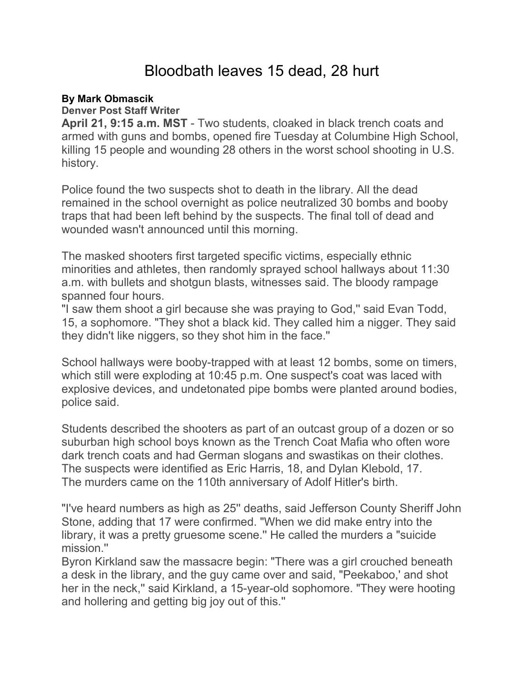## Bloodbath leaves 15 dead, 28 hurt

## **By [Mark Obmascik](mailto:newsroom@denverpost.com)**

## **Denver Post Staff Writer**

**April 21, 9:15 a.m. MST** - Two students, cloaked in black trench coats and armed with guns and bombs, opened fire Tuesday at Columbine High School, killing 15 people and wounding 28 others in the worst school shooting in U.S. history.

Police found the two suspects shot to death in the library. All the dead remained in the school overnight as police neutralized 30 bombs and booby traps that had been left behind by the suspects. The final toll of dead and wounded wasn't announced until this morning.

The masked shooters first targeted specific victims, especially ethnic minorities and athletes, then randomly sprayed school hallways about 11:30 a.m. with bullets and shotgun blasts, witnesses said. The bloody rampage spanned four hours.

"I saw them shoot a girl because she was praying to God,'' said Evan Todd, 15, a sophomore. "They shot a black kid. They called him a nigger. They said they didn't like niggers, so they shot him in the face.''

School hallways were booby-trapped with at least 12 bombs, some on timers, which still were exploding at 10:45 p.m. One suspect's coat was laced with explosive devices, and undetonated pipe bombs were planted around bodies, police said.

Students described the shooters as part of an outcast group of a dozen or so suburban high school boys known as the Trench Coat Mafia who often wore dark trench coats and had German slogans and swastikas on their clothes. The suspects were identified as Eric Harris, 18, and Dylan Klebold, 17. The murders came on the 110th anniversary of Adolf Hitler's birth.

"I've heard numbers as high as 25'' deaths, said Jefferson County Sheriff John Stone, adding that 17 were confirmed. "When we did make entry into the library, it was a pretty gruesome scene.'' He called the murders a "suicide mission.''

Byron Kirkland saw the massacre begin: "There was a girl crouched beneath a desk in the library, and the guy came over and said, "Peekaboo,' and shot her in the neck,'' said Kirkland, a 15-year-old sophomore. "They were hooting and hollering and getting big joy out of this.''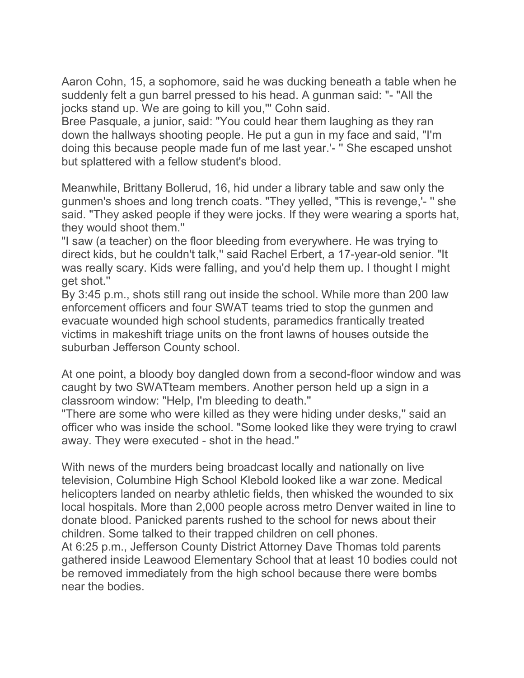Aaron Cohn, 15, a sophomore, said he was ducking beneath a table when he suddenly felt a gun barrel pressed to his head. A gunman said: "- "All the jocks stand up. We are going to kill you,"" Cohn said.

Bree Pasquale, a junior, said: "You could hear them laughing as they ran down the hallways shooting people. He put a gun in my face and said, "I'm doing this because people made fun of me last year.'- '' She escaped unshot but splattered with a fellow student's blood.

Meanwhile, Brittany Bollerud, 16, hid under a library table and saw only the gunmen's shoes and long trench coats. "They yelled, "This is revenge,'- '' she said. "They asked people if they were jocks. If they were wearing a sports hat, they would shoot them.''

"I saw (a teacher) on the floor bleeding from everywhere. He was trying to direct kids, but he couldn't talk,'' said Rachel Erbert, a 17-year-old senior. "It was really scary. Kids were falling, and you'd help them up. I thought I might get shot.''

By 3:45 p.m., shots still rang out inside the school. While more than 200 law enforcement officers and four SWAT teams tried to stop the gunmen and evacuate wounded high school students, paramedics frantically treated victims in makeshift triage units on the front lawns of houses outside the suburban Jefferson County school.

At one point, a bloody boy dangled down from a second-floor window and was caught by two SWATteam members. Another person held up a sign in a classroom window: "Help, I'm bleeding to death.''

"There are some who were killed as they were hiding under desks,'' said an officer who was inside the school. "Some looked like they were trying to crawl away. They were executed - shot in the head.''

With news of the murders being broadcast locally and nationally on live television, Columbine High School Klebold looked like a war zone. Medical helicopters landed on nearby athletic fields, then whisked the wounded to six local hospitals. More than 2,000 people across metro Denver waited in line to donate blood. Panicked parents rushed to the school for news about their children. Some talked to their trapped children on cell phones. At 6:25 p.m., Jefferson County District Attorney Dave Thomas told parents gathered inside Leawood Elementary School that at least 10 bodies could not be removed immediately from the high school because there were bombs near the bodies.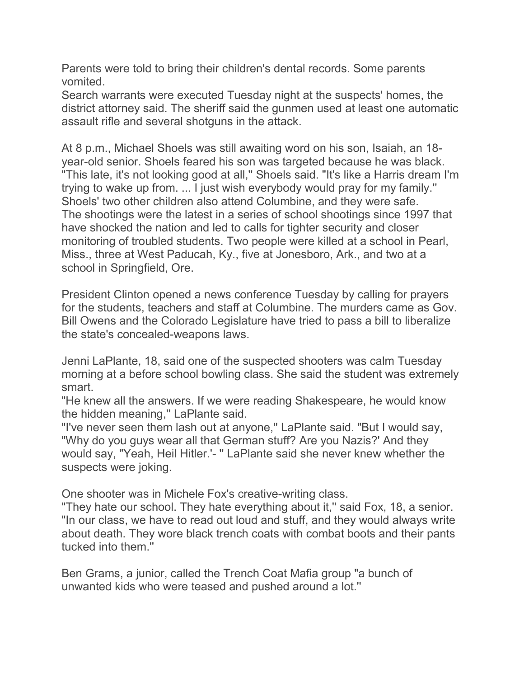Parents were told to bring their children's dental records. Some parents vomited.

Search warrants were executed Tuesday night at the suspects' homes, the district attorney said. The sheriff said the gunmen used at least one automatic assault rifle and several shotguns in the attack.

At 8 p.m., Michael Shoels was still awaiting word on his son, Isaiah, an 18 year-old senior. Shoels feared his son was targeted because he was black. "This late, it's not looking good at all,'' Shoels said. "It's like a Harris dream I'm trying to wake up from. ... I just wish everybody would pray for my family.'' Shoels' two other children also attend Columbine, and they were safe. The shootings were the latest in a series of school shootings since 1997 that have shocked the nation and led to calls for tighter security and closer monitoring of troubled students. Two people were killed at a school in Pearl, Miss., three at West Paducah, Ky., five at Jonesboro, Ark., and two at a school in Springfield, Ore.

President Clinton opened a news conference Tuesday by calling for prayers for the students, teachers and staff at Columbine. The murders came as Gov. Bill Owens and the Colorado Legislature have tried to pass a bill to liberalize the state's concealed-weapons laws.

Jenni LaPlante, 18, said one of the suspected shooters was calm Tuesday morning at a before school bowling class. She said the student was extremely smart.

"He knew all the answers. If we were reading Shakespeare, he would know the hidden meaning,'' LaPlante said.

"I've never seen them lash out at anyone,'' LaPlante said. "But I would say, "Why do you guys wear all that German stuff? Are you Nazis?' And they would say, "Yeah, Heil Hitler.'- '' LaPlante said she never knew whether the suspects were joking.

One shooter was in Michele Fox's creative-writing class.

"They hate our school. They hate everything about it,'' said Fox, 18, a senior. "In our class, we have to read out loud and stuff, and they would always write about death. They wore black trench coats with combat boots and their pants tucked into them.''

Ben Grams, a junior, called the Trench Coat Mafia group "a bunch of unwanted kids who were teased and pushed around a lot.''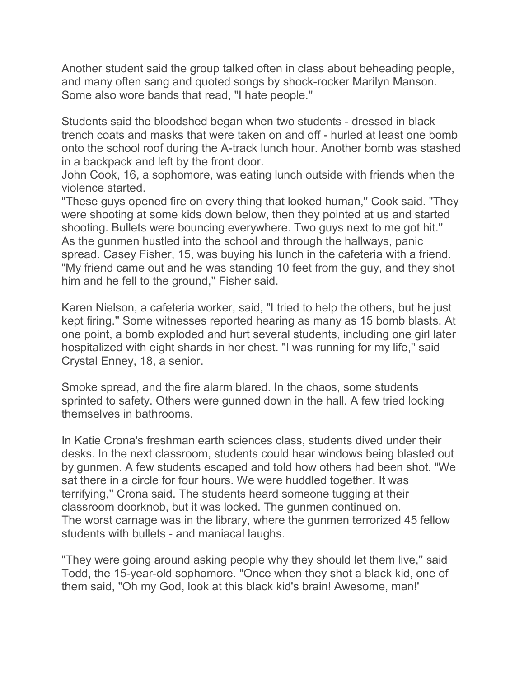Another student said the group talked often in class about beheading people, and many often sang and quoted songs by shock-rocker Marilyn Manson. Some also wore bands that read, "I hate people.''

Students said the bloodshed began when two students - dressed in black trench coats and masks that were taken on and off - hurled at least one bomb onto the school roof during the A-track lunch hour. Another bomb was stashed in a backpack and left by the front door.

John Cook, 16, a sophomore, was eating lunch outside with friends when the violence started.

"These guys opened fire on every thing that looked human,'' Cook said. "They were shooting at some kids down below, then they pointed at us and started shooting. Bullets were bouncing everywhere. Two guys next to me got hit.'' As the gunmen hustled into the school and through the hallways, panic spread. Casey Fisher, 15, was buying his lunch in the cafeteria with a friend. "My friend came out and he was standing 10 feet from the guy, and they shot him and he fell to the ground," Fisher said.

Karen Nielson, a cafeteria worker, said, "I tried to help the others, but he just kept firing.'' Some witnesses reported hearing as many as 15 bomb blasts. At one point, a bomb exploded and hurt several students, including one girl later hospitalized with eight shards in her chest. "I was running for my life,'' said Crystal Enney, 18, a senior.

Smoke spread, and the fire alarm blared. In the chaos, some students sprinted to safety. Others were gunned down in the hall. A few tried locking themselves in bathrooms.

In Katie Crona's freshman earth sciences class, students dived under their desks. In the next classroom, students could hear windows being blasted out by gunmen. A few students escaped and told how others had been shot. "We sat there in a circle for four hours. We were huddled together. It was terrifying,'' Crona said. The students heard someone tugging at their classroom doorknob, but it was locked. The gunmen continued on. The worst carnage was in the library, where the gunmen terrorized 45 fellow students with bullets - and maniacal laughs.

"They were going around asking people why they should let them live,'' said Todd, the 15-year-old sophomore. "Once when they shot a black kid, one of them said, "Oh my God, look at this black kid's brain! Awesome, man!'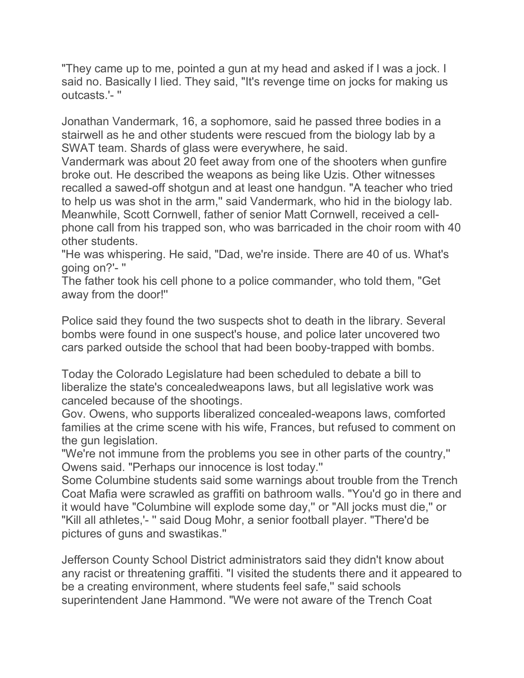"They came up to me, pointed a gun at my head and asked if I was a jock. I said no. Basically I lied. They said, "It's revenge time on jocks for making us outcasts.'- ''

Jonathan Vandermark, 16, a sophomore, said he passed three bodies in a stairwell as he and other students were rescued from the biology lab by a SWAT team. Shards of glass were everywhere, he said.

Vandermark was about 20 feet away from one of the shooters when gunfire broke out. He described the weapons as being like Uzis. Other witnesses recalled a sawed-off shotgun and at least one handgun. "A teacher who tried to help us was shot in the arm,'' said Vandermark, who hid in the biology lab. Meanwhile, Scott Cornwell, father of senior Matt Cornwell, received a cellphone call from his trapped son, who was barricaded in the choir room with 40 other students.

"He was whispering. He said, "Dad, we're inside. There are 40 of us. What's going on?'- ''

The father took his cell phone to a police commander, who told them, "Get away from the door!''

Police said they found the two suspects shot to death in the library. Several bombs were found in one suspect's house, and police later uncovered two cars parked outside the school that had been booby-trapped with bombs.

Today the Colorado Legislature had been scheduled to debate a bill to liberalize the state's concealedweapons laws, but all legislative work was canceled because of the shootings.

Gov. Owens, who supports liberalized concealed-weapons laws, comforted families at the crime scene with his wife, Frances, but refused to comment on the gun legislation.

"We're not immune from the problems you see in other parts of the country,'' Owens said. "Perhaps our innocence is lost today.''

Some Columbine students said some warnings about trouble from the Trench Coat Mafia were scrawled as graffiti on bathroom walls. "You'd go in there and it would have "Columbine will explode some day,'' or "All jocks must die,'' or "Kill all athletes,'- '' said Doug Mohr, a senior football player. "There'd be pictures of guns and swastikas.''

Jefferson County School District administrators said they didn't know about any racist or threatening graffiti. "I visited the students there and it appeared to be a creating environment, where students feel safe,'' said schools superintendent Jane Hammond. "We were not aware of the Trench Coat